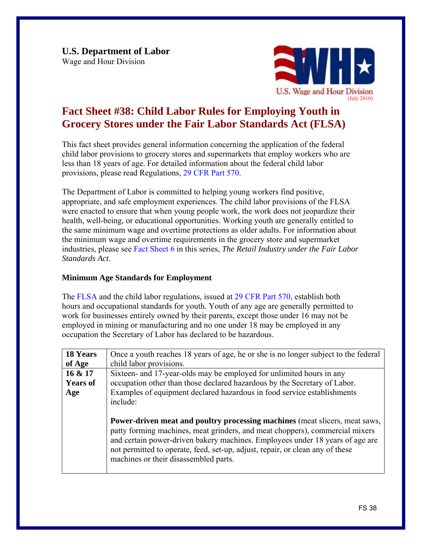

# **Fact Sheet #38: Child Labor Rules for Employing Youth in Grocery Stores under the Fair Labor Standards Act (FLSA)**

This fact sheet provides general information concerning the application of the federal child labor provisions to grocery stores and supermarkets that employ workers who are less than 18 years of age. For detailed information about the federal child labor provisions, please read Regulations, [29 CFR Part 570.](http://www.dol.gov/cgi-bin/leave-dol.asp?exiturl=http://s.dol.gov/87&exitTitle=www.gpoaccess.gov&fedpage=yes) 

The Department of Labor is committed to helping young workers find positive, appropriate, and safe employment experiences. The child labor provisions of the FLSA were enacted to ensure that when young people work, the work does not jeopardize their health, well-being, or educational opportunities. Working youth are generally entitled to the same minimum wage and overtime protections as older adults. For information about the minimum wage and overtime requirements in the grocery store and supermarket industries, please see [Fact Sheet 6](http://www.dol.gov/whd/regs/compliance/whdfs6.pdf) in this series, *The Retail Industry under the Fair Labor Standards Act*.

## **Minimum Age Standards for Employment**

The [FLSA](http://www.dol.gov/whd/flsa/index.htm) and the child labor regulations, issued at [29 CFR Part 570,](http://www.dol.gov/cgi-bin/leave-dol.asp?exiturl=http://s.dol.gov/87&exitTitle=www.gpoaccess.gov&fedpage=yes) establish both hours and occupational standards for youth. Youth of any age are generally permitted to work for businesses entirely owned by their parents, except those under 16 may not be employed in mining or manufacturing and no one under 18 may be employed in any occupation the Secretary of Labor has declared to be hazardous.

| <b>18 Years</b> | Once a youth reaches 18 years of age, he or she is no longer subject to the federal                                                                                                                                                                                                                                                                                           |  |  |
|-----------------|-------------------------------------------------------------------------------------------------------------------------------------------------------------------------------------------------------------------------------------------------------------------------------------------------------------------------------------------------------------------------------|--|--|
| of Age          | child labor provisions.                                                                                                                                                                                                                                                                                                                                                       |  |  |
| 16 & 17         | Sixteen- and 17-year-olds may be employed for unlimited hours in any                                                                                                                                                                                                                                                                                                          |  |  |
| <b>Years of</b> | occupation other than those declared hazardous by the Secretary of Labor.                                                                                                                                                                                                                                                                                                     |  |  |
| Age             | Examples of equipment declared hazardous in food service establishments                                                                                                                                                                                                                                                                                                       |  |  |
|                 | include:                                                                                                                                                                                                                                                                                                                                                                      |  |  |
|                 |                                                                                                                                                                                                                                                                                                                                                                               |  |  |
|                 | <b>Power-driven meat and poultry processing machines (meat slicers, meat saws,</b><br>patty forming machines, meat grinders, and meat choppers), commercial mixers<br>and certain power-driven bakery machines. Employees under 18 years of age are<br>not permitted to operate, feed, set-up, adjust, repair, or clean any of these<br>machines or their disassembled parts. |  |  |
|                 |                                                                                                                                                                                                                                                                                                                                                                               |  |  |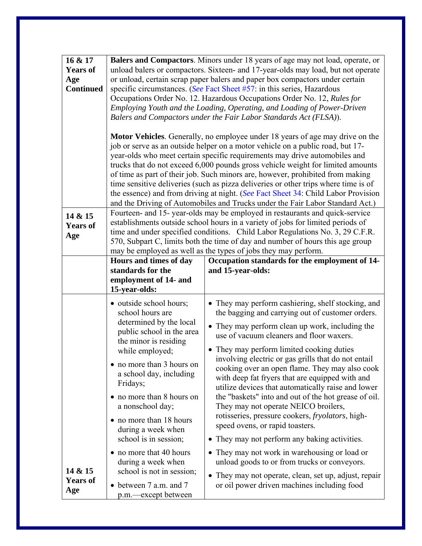| 16 & 17<br><b>Years of</b><br>Age<br><b>Continued</b> |                                                                                                                                                                                                                                                                                                                                                                                                                                                                                                                                                                  | Balers and Compactors. Minors under 18 years of age may not load, operate, or<br>unload balers or compactors. Sixteen- and 17-year-olds may load, but not operate<br>or unload, certain scrap paper balers and paper box compactors under certain<br>specific circumstances. (See Fact Sheet #57: in this series, Hazardous<br>Occupations Order No. 12. Hazardous Occupations Order No. 12, Rules for<br>Employing Youth and the Loading, Operating, and Loading of Power-Driven<br>Balers and Compactors under the Fair Labor Standards Act (FLSA)).<br><b>Motor Vehicles.</b> Generally, no employee under 18 years of age may drive on the<br>job or serve as an outside helper on a motor vehicle on a public road, but 17-<br>year-olds who meet certain specific requirements may drive automobiles and<br>trucks that do not exceed 6,000 pounds gross vehicle weight for limited amounts<br>of time as part of their job. Such minors are, however, prohibited from making<br>time sensitive deliveries (such as pizza deliveries or other trips where time is of<br>the essence) and from driving at night. (See Fact Sheet 34: Child Labor Provision |
|-------------------------------------------------------|------------------------------------------------------------------------------------------------------------------------------------------------------------------------------------------------------------------------------------------------------------------------------------------------------------------------------------------------------------------------------------------------------------------------------------------------------------------------------------------------------------------------------------------------------------------|-----------------------------------------------------------------------------------------------------------------------------------------------------------------------------------------------------------------------------------------------------------------------------------------------------------------------------------------------------------------------------------------------------------------------------------------------------------------------------------------------------------------------------------------------------------------------------------------------------------------------------------------------------------------------------------------------------------------------------------------------------------------------------------------------------------------------------------------------------------------------------------------------------------------------------------------------------------------------------------------------------------------------------------------------------------------------------------------------------------------------------------------------------------------|
| 14 & 15<br><b>Years of</b><br>Age                     | and the Driving of Automobiles and Trucks under the Fair Labor Standard Act.)<br>Fourteen- and 15-year-olds may be employed in restaurants and quick-service<br>establishments outside school hours in a variety of jobs for limited periods of<br>time and under specified conditions. Child Labor Regulations No. 3, 29 C.F.R.<br>570, Subpart C, limits both the time of day and number of hours this age group<br>may be employed as well as the types of jobs they may perform.<br>Hours and times of day<br>Occupation standards for the employment of 14- |                                                                                                                                                                                                                                                                                                                                                                                                                                                                                                                                                                                                                                                                                                                                                                                                                                                                                                                                                                                                                                                                                                                                                                 |
|                                                       | standards for the<br>employment of 14- and<br>15-year-olds:                                                                                                                                                                                                                                                                                                                                                                                                                                                                                                      | and 15-year-olds:                                                                                                                                                                                                                                                                                                                                                                                                                                                                                                                                                                                                                                                                                                                                                                                                                                                                                                                                                                                                                                                                                                                                               |
|                                                       | • outside school hours;<br>school hours are<br>determined by the local<br>public school in the area<br>the minor is residing<br>while employed;<br>• no more than 3 hours on<br>a school day, including<br>Fridays;<br>• no more than 8 hours on<br>a nonschool day;<br>• no more than 18 hours<br>during a week when<br>school is in session;                                                                                                                                                                                                                   | • They may perform cashiering, shelf stocking, and<br>the bagging and carrying out of customer orders.<br>• They may perform clean up work, including the<br>use of vacuum cleaners and floor waxers.<br>• They may perform limited cooking duties<br>involving electric or gas grills that do not entail<br>cooking over an open flame. They may also cook<br>with deep fat fryers that are equipped with and<br>utilize devices that automatically raise and lower<br>the "baskets" into and out of the hot grease of oil.<br>They may not operate NEICO broilers,<br>rotisseries, pressure cookers, <i>fryolators</i> , high-<br>speed ovens, or rapid toasters.<br>• They may not perform any baking activities.                                                                                                                                                                                                                                                                                                                                                                                                                                            |
| 14 & 15<br><b>Years of</b><br>Age                     | no more that 40 hours<br>during a week when<br>school is not in session;<br>between 7 a.m. and 7<br>p.m.—except between                                                                                                                                                                                                                                                                                                                                                                                                                                          | • They may not work in warehousing or load or<br>unload goods to or from trucks or conveyors.<br>• They may not operate, clean, set up, adjust, repair<br>or oil power driven machines including food                                                                                                                                                                                                                                                                                                                                                                                                                                                                                                                                                                                                                                                                                                                                                                                                                                                                                                                                                           |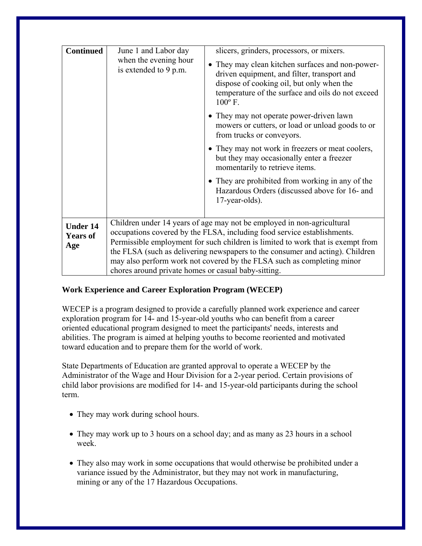| <b>Continued</b>                          | June 1 and Labor day                                                                                                                                                                                                                                                                                                                                                                                                                                   | slicers, grinders, processors, or mixers.                                                                                                                                                                             |
|-------------------------------------------|--------------------------------------------------------------------------------------------------------------------------------------------------------------------------------------------------------------------------------------------------------------------------------------------------------------------------------------------------------------------------------------------------------------------------------------------------------|-----------------------------------------------------------------------------------------------------------------------------------------------------------------------------------------------------------------------|
|                                           | when the evening hour<br>is extended to 9 p.m.                                                                                                                                                                                                                                                                                                                                                                                                         | • They may clean kitchen surfaces and non-power-<br>driven equipment, and filter, transport and<br>dispose of cooking oil, but only when the<br>temperature of the surface and oils do not exceed<br>$100^{\circ}$ F. |
|                                           |                                                                                                                                                                                                                                                                                                                                                                                                                                                        | • They may not operate power-driven lawn<br>mowers or cutters, or load or unload goods to or<br>from trucks or conveyors.                                                                                             |
|                                           |                                                                                                                                                                                                                                                                                                                                                                                                                                                        | • They may not work in freezers or meat coolers,<br>but they may occasionally enter a freezer<br>momentarily to retrieve items.                                                                                       |
|                                           |                                                                                                                                                                                                                                                                                                                                                                                                                                                        | • They are prohibited from working in any of the<br>Hazardous Orders (discussed above for 16- and<br>$17$ -year-olds).                                                                                                |
| <b>Under 14</b><br><b>Years of</b><br>Age | Children under 14 years of age may not be employed in non-agricultural<br>occupations covered by the FLSA, including food service establishments.<br>Permissible employment for such children is limited to work that is exempt from<br>the FLSA (such as delivering newspapers to the consumer and acting). Children<br>may also perform work not covered by the FLSA such as completing minor<br>chores around private homes or casual baby-sitting. |                                                                                                                                                                                                                       |

## **Work Experience and Career Exploration Program (WECEP)**

WECEP is a program designed to provide a carefully planned work experience and career exploration program for 14- and 15-year-old youths who can benefit from a career oriented educational program designed to meet the participants' needs, interests and abilities. The program is aimed at helping youths to become reoriented and motivated toward education and to prepare them for the world of work.

State Departments of Education are granted approval to operate a WECEP by the Administrator of the Wage and Hour Division for a 2-year period. Certain provisions of child labor provisions are modified for 14- and 15-year-old participants during the school term.

- They may work during school hours.
- They may work up to 3 hours on a school day; and as many as 23 hours in a school week.
- They also may work in some occupations that would otherwise be prohibited under a variance issued by the Administrator, but they may not work in manufacturing, mining or any of the 17 Hazardous Occupations.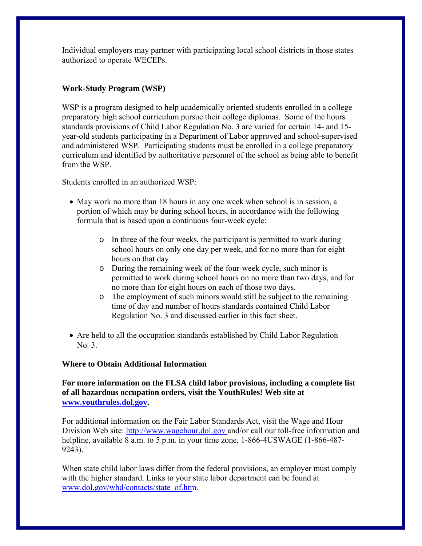Individual employers may partner with participating local school districts in those states authorized to operate WECEPs.

## **Work-Study Program (WSP)**

WSP is a program designed to help academically oriented students enrolled in a college preparatory high school curriculum pursue their college diplomas. Some of the hours standards provisions of Child Labor Regulation No. 3 are varied for certain 14- and 15 year-old students participating in a Department of Labor approved and school-supervised and administered WSP. Participating students must be enrolled in a college preparatory curriculum and identified by authoritative personnel of the school as being able to benefit from the WSP.

Students enrolled in an authorized WSP:

- May work no more than 18 hours in any one week when school is in session, a portion of which may be during school hours, in accordance with the following formula that is based upon a continuous four-week cycle:
	- o In three of the four weeks, the participant is permitted to work during school hours on only one day per week, and for no more than for eight hours on that day.
	- o During the remaining week of the four-week cycle, such minor is permitted to work during school hours on no more than two days, and for no more than for eight hours on each of those two days.
	- o The employment of such minors would still be subject to the remaining time of day and number of hours standards contained Child Labor Regulation No. 3 and discussed earlier in this fact sheet.
- Are held to all the occupation standards established by Child Labor Regulation No. 3.

## **Where to Obtain Additional Information**

**For more information on the FLSA child labor provisions, including a complete list of all hazardous occupation orders, visit the YouthRules! Web site at [www.youthrules.dol.gov.](http://www.youthrules.dol.gov/)** 

For additional information on the Fair Labor Standards Act, visit the Wage and Hour Division Web site: http://www.wagehour.dol.gov and/or call our toll-free information and helpline, available 8 a.m. to 5 p.m. in your time zone, 1-866-4USWAGE (1-866-487-9243).

When state child labor laws differ from the federal provisions, an employer must comply with the higher standard. Links to your state labor department can be found at [www.dol.gov/whd/contacts/state\\_of.htm.](http://www.dol.gov/whd/contacts/state_of.htm)